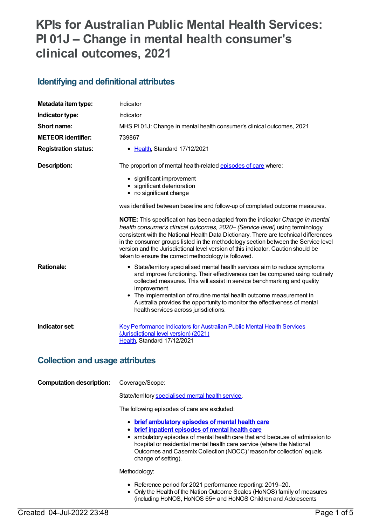# **KPIs for Australian Public Mental Health Services: PI 01J – Change in mental health consumer's clinical outcomes, 2021**

### **Identifying and definitional attributes**

| Metadata item type:                    | Indicator                                                                                                                                                                                                                                                                                                                                                                                                                                                                                              |
|----------------------------------------|--------------------------------------------------------------------------------------------------------------------------------------------------------------------------------------------------------------------------------------------------------------------------------------------------------------------------------------------------------------------------------------------------------------------------------------------------------------------------------------------------------|
| Indicator type:                        | Indicator                                                                                                                                                                                                                                                                                                                                                                                                                                                                                              |
| Short name:                            | MHS PI01J: Change in mental health consumer's clinical outcomes, 2021                                                                                                                                                                                                                                                                                                                                                                                                                                  |
| <b>METEOR identifier:</b>              | 739867                                                                                                                                                                                                                                                                                                                                                                                                                                                                                                 |
| <b>Registration status:</b>            | • Health, Standard 17/12/2021                                                                                                                                                                                                                                                                                                                                                                                                                                                                          |
| <b>Description:</b>                    | The proportion of mental health-related episodes of care where:                                                                                                                                                                                                                                                                                                                                                                                                                                        |
|                                        | • significant improvement<br>• significant deterioration<br>• no significant change                                                                                                                                                                                                                                                                                                                                                                                                                    |
|                                        | was identified between baseline and follow-up of completed outcome measures.                                                                                                                                                                                                                                                                                                                                                                                                                           |
|                                        | <b>NOTE:</b> This specification has been adapted from the indicator <i>Change in mental</i><br>health consumer's clinical outcomes, 2020- (Service level) using terminology<br>consistent with the National Health Data Dictionary. There are technical differences<br>in the consumer groups listed in the methodology section between the Service level<br>version and the Jurisdictional level version of this indicator. Caution should be<br>taken to ensure the correct methodology is followed. |
| <b>Rationale:</b>                      | • State/territory specialised mental health services aim to reduce symptoms<br>and improve functioning. Their effectiveness can be compared using routinely<br>collected measures. This will assist in service benchmarking and quality<br>improvement.<br>• The implementation of routine mental health outcome measurement in<br>Australia provides the opportunity to monitor the effectiveness of mental<br>health services across jurisdictions.                                                  |
| Indicator set:                         | <b>Key Performance Indicators for Australian Public Mental Health Services</b><br>(Jurisdictional level version) (2021)<br>Health, Standard 17/12/2021                                                                                                                                                                                                                                                                                                                                                 |
| <b>Collection and usage attributes</b> |                                                                                                                                                                                                                                                                                                                                                                                                                                                                                                        |
| <b>Computation description:</b>        | Coverage/Scope:                                                                                                                                                                                                                                                                                                                                                                                                                                                                                        |
|                                        | State/territory specialised mental health service.                                                                                                                                                                                                                                                                                                                                                                                                                                                     |
|                                        | The following episodes of care are excluded:                                                                                                                                                                                                                                                                                                                                                                                                                                                           |
|                                        | • brief ambulatory episodes of mental health care<br>• brief inpatient episodes of mental health care<br>• ambulatory episodes of mental health care that end because of admission to<br>hospital or residential mental health care service (where the National                                                                                                                                                                                                                                        |

Outcomes and Casemix Collection (NOCC) 'reason for collection' equals change of setting).

Methodology:

- Reference period for 2021 performance reporting: 2019–20.
- Only the Health of the Nation Outcome Scales (HoNOS) family of measures (including HoNOS, HoNOS 65+ and HoNOS Children and Adolescents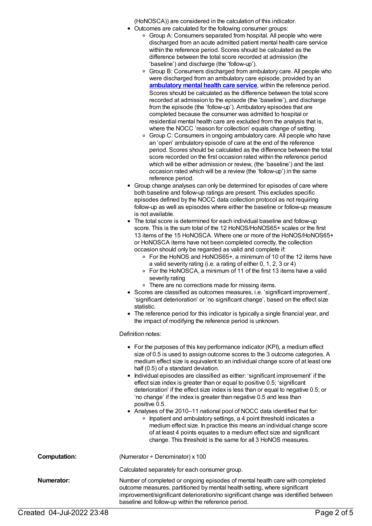(HoNOSCA)) are considered in the calculation of this indicator.

- Outcomes are calculated for the following consumer groups:
	- Group A: Consumers separated from hospital. All people who were discharged from an acute admitted patient mental health care service within the reference period. Scores should be calculated as the difference between the total score recorded at admission (the 'baseline') and discharge (the 'follow-up').
	- Group B: Consumers discharged from ambulatory care. All people who were discharged from an ambulatory care episode, provided by an **[ambulatory](https://meteor.aihw.gov.au/content/699980) mental health care service**, within the reference period. Scores should be calculated as the difference between the total score recorded at admission to the episode (the 'baseline'), and discharge from the episode (the 'follow-up'). Ambulatory episodes that are completed because the consumer was admitted to hospital or residential mental health care are excluded from the analysis that is, where the NOCC 'reason for collection' equals change of setting.
	- o Group C: Consumers in ongoing ambulatory care. All people who have an 'open' ambulatory episode of care at the end of the reference period. Scores should be calculated as the difference between the total score recorded on the first occasion rated within the reference period which will be either admission or review, (the 'baseline') and the last occasion rated which will be a review (the 'follow-up') in the same reference period.
- Group change analyses can only be determined for episodes of care where both baseline and follow-up ratings are present. This excludes specific episodes defined by the NOCC data collection protocol as not requiring follow-up as well as episodes where either the baseline or follow-up measure is not available.
- The total score is determined for each individual baseline and follow-up score. This is the sum total of the 12 HoNOS/HoNOS65+ scales or the first 13 items of the 15 HoNOSCA. Where one or more of the HoNOS/HoNOS65+ or HoNOSCA items have not been completed correctly, the collection occasion should only be regarded as valid and complete if:
	- For the HoNOS and HoNOS65+, a minimum of 10 of the 12 items have a valid severity rating (i.e. a rating of either 0, 1, 2, 3 or 4)
	- For the HoNOSCA, a minimum of 11 of the first 13 items have a valid severity rating
	- There are no corrections made for missing items.
- Scores are classified as outcomes measures, i.e. 'significant improvement', 'significant deterioration' or 'no significant change', based on the effect size statistic.
- The reference period for this indicator is typically a single financial year, and the impact of modifying the reference period is unknown.

#### Definition notes:

|                     | • For the purposes of this key performance indicator (KPI), a medium effect<br>size of 0.5 is used to assign outcome scores to the 3 outcome categories. A<br>medium effect size is equivalent to an individual change score of at least one<br>half (0.5) of a standard deviation.<br>• Individual episodes are classified as either: 'significant improvement' if the<br>effect size index is greater than or equal to positive 0.5; 'significant<br>deterioration' if the effect size index is less than or equal to negative 0.5; or<br>'no change' if the index is greater than negative 0.5 and less than<br>positive 0.5.<br>• Analyses of the 2010–11 national pool of NOCC data identified that for:<br>Inpatient and ambulatory settings, a 4 point threshold indicates a<br>$\circ$<br>medium effect size. In practice this means an individual change score<br>of at least 4 points equates to a medium effect size and significant<br>change. This threshold is the same for all 3 HoNOS measures. |
|---------------------|-----------------------------------------------------------------------------------------------------------------------------------------------------------------------------------------------------------------------------------------------------------------------------------------------------------------------------------------------------------------------------------------------------------------------------------------------------------------------------------------------------------------------------------------------------------------------------------------------------------------------------------------------------------------------------------------------------------------------------------------------------------------------------------------------------------------------------------------------------------------------------------------------------------------------------------------------------------------------------------------------------------------|
| <b>Computation:</b> | (Numerator $\div$ Denominator) x 100                                                                                                                                                                                                                                                                                                                                                                                                                                                                                                                                                                                                                                                                                                                                                                                                                                                                                                                                                                            |
|                     | Calculated separately for each consumer group.                                                                                                                                                                                                                                                                                                                                                                                                                                                                                                                                                                                                                                                                                                                                                                                                                                                                                                                                                                  |
| Numerator:          | Number of completed or ongoing episodes of mental health care with completed<br>outcome measures, partitioned by mental health setting, where significant<br>improvement/significant deterioration/no significant change was identified between<br>baseline and follow-up within the reference period.                                                                                                                                                                                                                                                                                                                                                                                                                                                                                                                                                                                                                                                                                                          |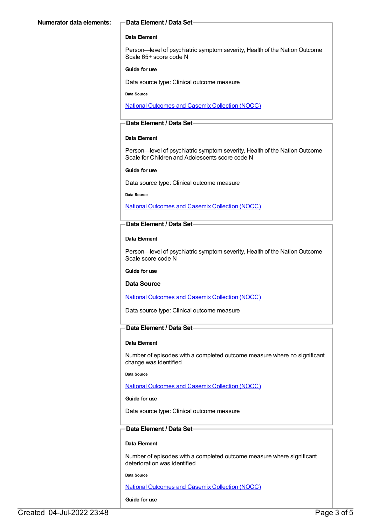#### **Data Element**

Person—level of psychiatric symptom severity, Health of the Nation Outcome Scale 65+ score code N

#### **Guide for use**

Data source type: Clinical outcome measure

**Data Source**

National [Outcomes](file:///content/636931) and Casemix Collection (NOCC)

#### **Data Element / Data Set**

#### **Data Element**

Person—level of psychiatric symptom severity, Health of the Nation Outcome Scale for Children and Adolescents score code N

#### **Guide for use**

Data source type: Clinical outcome measure

#### **Data Source**

National [Outcomes](file:///content/636931) and Casemix Collection (NOCC)

#### **Data Element / Data Set**

#### **Data Element**

Person—level of psychiatric symptom severity, Health of the Nation Outcome Scale score code N

#### **Guide for use**

#### **Data Source**

National [Outcomes](file:///content/636931) and Casemix Collection (NOCC)

Data source type: Clinical outcome measure

#### **Data Element / Data Set**

#### **Data Element**

Number of episodes with a completed outcome measure where no significant change was identified

**Data Source**

National [Outcomes](file:///content/636931) and Casemix Collection (NOCC)

#### **Guide for use**

Data source type: Clinical outcome measure

### **Data Element / Data Set**

#### **Data Element**

Number of episodes with a completed outcome measure where significant deterioration was identified

**Data Source**

National [Outcomes](file:///content/636931) and Casemix Collection (NOCC)

#### **Guide for use**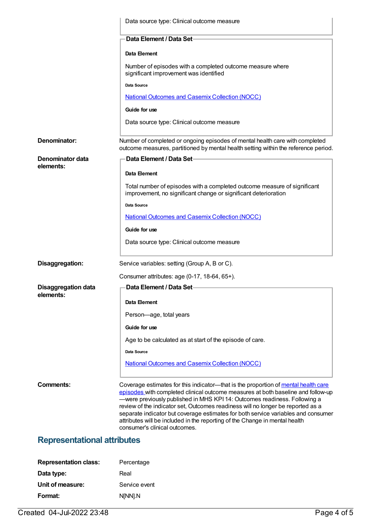|                                    | Data source type: Clinical outcome measure                                                                                                                                                                                                                                                                                                                                                                                                                                                                                                  |
|------------------------------------|---------------------------------------------------------------------------------------------------------------------------------------------------------------------------------------------------------------------------------------------------------------------------------------------------------------------------------------------------------------------------------------------------------------------------------------------------------------------------------------------------------------------------------------------|
|                                    | Data Element / Data Set-                                                                                                                                                                                                                                                                                                                                                                                                                                                                                                                    |
|                                    | Data Element                                                                                                                                                                                                                                                                                                                                                                                                                                                                                                                                |
|                                    | Number of episodes with a completed outcome measure where<br>significant improvement was identified                                                                                                                                                                                                                                                                                                                                                                                                                                         |
|                                    | Data Source                                                                                                                                                                                                                                                                                                                                                                                                                                                                                                                                 |
|                                    | <b>National Outcomes and Casemix Collection (NOCC)</b>                                                                                                                                                                                                                                                                                                                                                                                                                                                                                      |
|                                    | Guide for use                                                                                                                                                                                                                                                                                                                                                                                                                                                                                                                               |
|                                    | Data source type: Clinical outcome measure                                                                                                                                                                                                                                                                                                                                                                                                                                                                                                  |
| Denominator:                       | Number of completed or ongoing episodes of mental health care with completed<br>outcome measures, partitioned by mental health setting within the reference period.                                                                                                                                                                                                                                                                                                                                                                         |
| Denominator data                   | Data Element / Data Set-                                                                                                                                                                                                                                                                                                                                                                                                                                                                                                                    |
| elements:                          | Data Element                                                                                                                                                                                                                                                                                                                                                                                                                                                                                                                                |
|                                    | Total number of episodes with a completed outcome measure of significant<br>improvement, no significant change or significant deterioration                                                                                                                                                                                                                                                                                                                                                                                                 |
|                                    | Data Source                                                                                                                                                                                                                                                                                                                                                                                                                                                                                                                                 |
|                                    | <b>National Outcomes and Casemix Collection (NOCC)</b>                                                                                                                                                                                                                                                                                                                                                                                                                                                                                      |
|                                    | Guide for use                                                                                                                                                                                                                                                                                                                                                                                                                                                                                                                               |
|                                    | Data source type: Clinical outcome measure                                                                                                                                                                                                                                                                                                                                                                                                                                                                                                  |
| Disaggregation:                    | Service variables: setting (Group A, B or C).                                                                                                                                                                                                                                                                                                                                                                                                                                                                                               |
|                                    | Consumer attributes: age (0-17, 18-64, 65+).                                                                                                                                                                                                                                                                                                                                                                                                                                                                                                |
| <b>Disaggregation data</b>         | Data Element / Data Set-                                                                                                                                                                                                                                                                                                                                                                                                                                                                                                                    |
| elements:                          | Data Element                                                                                                                                                                                                                                                                                                                                                                                                                                                                                                                                |
|                                    | Person-age, total years                                                                                                                                                                                                                                                                                                                                                                                                                                                                                                                     |
|                                    | Guide for use                                                                                                                                                                                                                                                                                                                                                                                                                                                                                                                               |
|                                    | Age to be calculated as at start of the episode of care.                                                                                                                                                                                                                                                                                                                                                                                                                                                                                    |
|                                    | Data Source                                                                                                                                                                                                                                                                                                                                                                                                                                                                                                                                 |
|                                    | <b>National Outcomes and Casemix Collection (NOCC)</b>                                                                                                                                                                                                                                                                                                                                                                                                                                                                                      |
|                                    |                                                                                                                                                                                                                                                                                                                                                                                                                                                                                                                                             |
| Comments:                          | Coverage estimates for this indicator—that is the proportion of mental health care<br>episodes with completed clinical outcome measures at both baseline and follow-up<br>-were previously published in MHS KPI 14: Outcomes readiness. Following a<br>review of the indicator set, Outcomes readiness will no longer be reported as a<br>separate indicator but coverage estimates for both service variables and consumer<br>attributes will be included in the reporting of the Change in mental health<br>consumer's clinical outcomes. |
| <b>Representational attributes</b> |                                                                                                                                                                                                                                                                                                                                                                                                                                                                                                                                             |
|                                    |                                                                                                                                                                                                                                                                                                                                                                                                                                                                                                                                             |

| <b>Representation class:</b> | Percentage    |
|------------------------------|---------------|
| Data type:                   | Real          |
| Unit of measure:             | Service event |
| Format:                      | N[NN].N       |